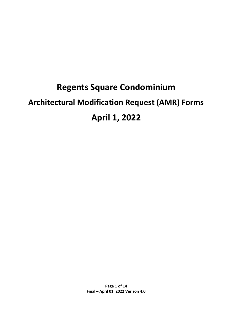# **Regents Square Condominium Architectural Modification Request (AMR) Forms April 1, 2022**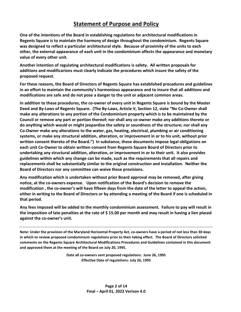## **Statement of Purpose and Policy**

**One of the intentions of the Board in establishing regulations for architectural modifications in Regents Square is to maintain the harmony of design throughout the condominium. Regents Square was designed to reflect a particular architectural style. Because of proximity of the units to each other, the external appearance of each unit in the condominium affects the appearance and monetary value of every other unit.**

**Another intention of regulating architectural modifications is safety. All written proposals for additions and modificarions must clearly indicate the procedures which insure the safety of the proposed request.** 

**For these reasons, the Board of Directors of Regents Square has established procedures and guidelines in an effort to maintain the community's harmonious appearance and to insure that all additions and modifications are safe and do not pose a danger to the unit or adjacent common areas.** 

**In addition to these procedures, the co-owner of every unit in Regents Square is bound by the Master Deed and By-Laws of Regents Square. (The By-Laws, Article V, Section 12, state "No Co-Owner shall make any alterations to any portion of the Condominium property which is to be maintained by the Council or remove any part or portion thereof; nor shall any co-owner make any additions thereto or do anything which would or might jeopardize the safety or soundness of the structure; nor shall any Co-Owner make any alterations to the water, gas, heating, electrical, plumbing or air conditioning systems, or make any structural addition, alteration, or improvement in or to his unit, without prior written consent thereto of the Board.") In substance, these documents impose legal obligations on each unit Co-Owner to obtain written consent from Regents Square Board of Directors prior to undertaking any structural addition, alteration, or improvement in or to their unit. It also provides guidelines within which any change can be made, such as the requirements that all repairs and replacements shall be substantially similar to the original construction and installation. Neither the Board of Directors nor any committee can waive these provisions.** 

**Any modification which is undertaken without prior Board approval may be removed, after giving notice, at the co-owners expense. Upon notification of the Board's decision to remove the modification , the co-owner's will have fifteen days from the date of the letter to appeal the action, either in writing to the Board of Directors or by attending a meeting of the Board if one is scheduled in that period.** 

**Any fees imposed will be added to the monthly condominium assessment. Failure to pay will result in the imposition of late penalties at the rate of \$ 15.00 per month and may result in having a lien placed against the co-owner's unit.** 

**Note: Under the provision of the Maryland Horizontal Property Act, co-owners have a period of not less than 30 days in which to review proposed condominium regulations prior to their taking effect. The Board of Directors solicited comments on the Regents Square Architectural Modifications Procedures and Guidelines contained in this document and approved them at the meeting of the Board on July 20, 1995.**

> **Date all co-owners sent proposed regulations: June 26, 1995 Effective Date of regulations: July 26, 1995**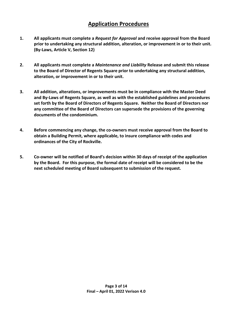## **Application Procedures**

- **1. All applicants must complete a** *Request for Approval* **and receive approval from the Board prior to undertaking any structural addition, alteration, or improvement in or to their unit. (By-Laws, Article V, Section 12)**
- **2. All applicants must complete a** *Maintenance and Liability* **Release and submit this release to the Board of Director of Regents Square prior to undertaking any structural addition, alteration, or improvement in or to their unit.**
- **3. All addition, alterations, or improvements must be in compliance with the Master Deed and By-Laws of Regents Square, as well as with the established guidelines and procedures set forth by the Board of Directors of Regents Square. Neither the Board of Directors nor any committee of the Board of Directors can supersede the provisions of the governing documents of the condominium.**
- **4. Before commencing any change, the co-owners must receive approval from the Board to obtain a Building Permit, where applicable, to insure compliance with codes and ordinances of the City of Rockville.**
- **5. Co-owner will be notified of Board's decision within 30 days of receipt of the application by the Board. For this purpose, the formal date of receipt will be considered to be the next scheduled meeting of Board subsequent to submission of the request.**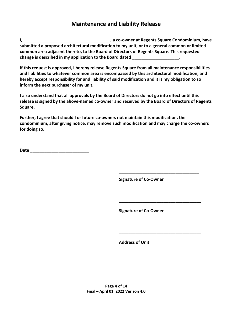## **Maintenance and Liability Release**

**I, \_\_\_\_\_\_\_\_\_\_\_\_\_\_\_\_\_\_\_\_\_\_\_\_\_\_\_\_\_\_\_\_\_\_\_\_\_, a co-owner at Regents Square Condominium, have submitted a proposed architectural modification to my unit, or to a general common or limited common area adjacent thereto, to the Board of Directors of Regents Square. This requested change is described in my application to the Board dated \_\_\_\_\_\_\_\_\_\_\_\_\_\_\_\_\_\_\_\_.** 

**If this request is approved, I hereby release Regents Square from all maintenance responsibilities and liabilities to whatever common area is encompassed by this architectural modification, and hereby accept responsibility for and liability of said modification and it is my obligation to so inform the next purchaser of my unit.** 

**I also understand that all approvals by the Board of Directors do not go into effect until this release is signed by the above-named co-owner and received by the Board of Directors of Regents Square.** 

**Further, I agree that should I or future co-owners not maintain this modification, the condominium, after giving notice, may remove such modification and may charge the co-owners for doing so.** 

 **\_\_\_\_\_\_\_\_\_\_\_\_\_\_\_\_\_\_\_\_\_\_\_\_\_\_\_\_\_\_\_\_\_\_**

 **\_\_\_\_\_\_\_\_\_\_\_\_\_\_\_\_\_\_\_\_\_\_\_\_\_\_\_\_\_\_\_\_\_\_\_**

**Date \_\_\_\_\_\_\_\_\_\_\_\_\_\_\_\_\_\_\_\_\_\_\_\_\_**

**Signature of Co-Owner**

**Signature of Co-Owner** 

**\_\_\_\_\_\_\_\_\_\_\_\_\_\_\_\_\_\_\_\_\_\_\_\_\_\_\_\_\_\_\_\_\_\_\_**

 **Address of Unit**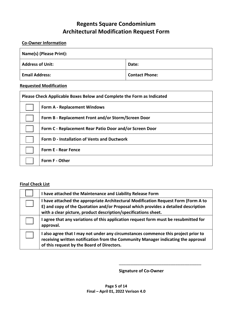#### **Co-Owner Information**

| Name(s) (Please Print): |                       |  |
|-------------------------|-----------------------|--|
| <b>Address of Unit:</b> | Date:                 |  |
| <b>Email Address:</b>   | <b>Contact Phone:</b> |  |

#### **Requested Modification**

| Please Check Applicable Boxes Below and Complete the Form as Indicated |                                                         |  |
|------------------------------------------------------------------------|---------------------------------------------------------|--|
|                                                                        | <b>Form A - Replacement Windows</b>                     |  |
|                                                                        | Form B - Replacement Front and/or Storm/Screen Door     |  |
|                                                                        | Form C - Replacement Rear Patio Door and/or Screen Door |  |
|                                                                        | <b>Form D - Installation of Vents and Ductwork</b>      |  |
|                                                                        | <b>Form E - Rear Fence</b>                              |  |
|                                                                        | Form F - Other                                          |  |

#### **Final Check List**

| I have attached the Maintenance and Liability Release Form                                                                                                                                                                                  |
|---------------------------------------------------------------------------------------------------------------------------------------------------------------------------------------------------------------------------------------------|
| I have attached the appropriate Architectural Modification Request Form (Form A to<br>E) and copy of the Quotation and/or Proposal which provides a detailed description<br>with a clear picture, product description/specifications sheet. |
| I agree that any variations of this application request form must be resubmitted for<br>approval.                                                                                                                                           |
| I also agree that I may not under any circumstances commence this project prior to<br>receiving written notification from the Community Manager indicating the approval<br>of this request by the Board of Directors.                       |

**Signature of Co-Owner** 

\_\_\_\_\_\_\_\_\_\_\_\_\_\_\_\_\_\_\_\_\_\_\_\_\_\_\_\_\_\_\_\_\_\_\_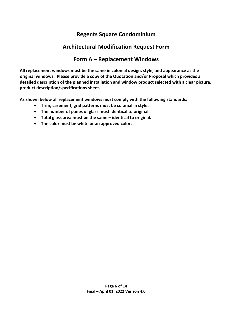## **Regents Square Condominium**

#### **Architectural Modification Request Form**

#### **Form A – Replacement Windows**

**All replacement windows must be the same in colonial design, style, and appearance as the original windows. Please provide a copy of the Quotation and/or Proposal which provides a detailed description of the planned installation and window product selected with a clear picture, product description/specifications sheet.** 

**As shown below all replacement windows must comply with the following standards:**

- **Trim, casement, grid patterns must be colonial in style.**
- **The number of panes of glass must identical to original.**
- **Total glass area must be the same identical to original.**
- **The color must be white or an approved color.**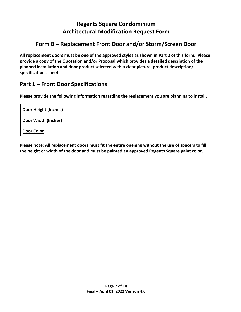# **Form B – Replacement Front Door and/or Storm/Screen Door**

**All replacement doors must be one of the approved styles as shown in Part 2 of this form. Please provide a copy of the Quotation and/or Proposal which provides a detailed description of the planned installation and door product selected with a clear picture, product description/ specifications sheet.** 

## **Part 1 – Front Door Specifications**

**Please provide the following information regarding the replacement you are planning to install.** 

| Door Height (Inches) |  |
|----------------------|--|
| Door Width (Inches)  |  |
| Door Color           |  |

**Please note: All replacement doors must fit the entire opening without the use of spacers to fill the height or width of the door and must be painted an approved Regents Square paint color.**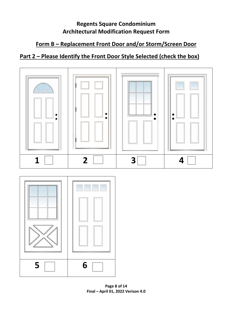# **Form B – Replacement Front Door and/or Storm/Screen Door**

# **Part 2 – Please Identify the Front Door Style Selected (check the box)**



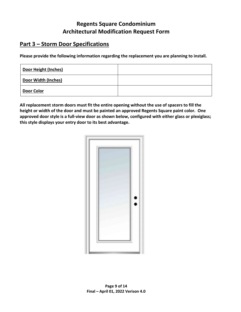## **Part 3 – Storm Door Specifications**

**Please provide the following information regarding the replacement you are planning to install.** 

| <b>Door Height (Inches)</b> |  |
|-----------------------------|--|
| Door Width (Inches)         |  |
| Door Color                  |  |

**All replacement storm doors must fit the entire opening without the use of spacers to fill the height or width of the door and must be painted an approved Regents Square paint color. One approved door style is a full-view door as shown below, configured with either glass or plexiglass; this style displays your entry door to its best advantage.** 

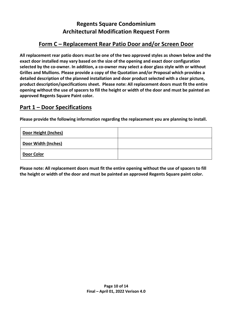# **Form C – Replacement Rear Patio Door and/or Screen Door**

**All replacement rear patio doors must be one of the two approved styles as shown below and the exact door installed may vary based on the size of the opening and exact door configuration selected by the co-owner. In addition, a co-owner may select a door glass style with or without Grilles and Mullions. Please provide a copy of the Quotation and/or Proposal which provides a detailed description of the planned installation and door product selected with a clear picture, product description/specifications sheet. Please note: All replacement doors must fit the entire opening without the use of spacers to fill the height or width of the door and must be painted an approved Regents Square Paint color.** 

#### **Part 1 – Door Specifications**

**Please provide the following information regarding the replacement you are planning to install.** 

| Door Height (Inches) |  |
|----------------------|--|
| Door Width (Inches)  |  |
| <b>Door Color</b>    |  |

**Please note: All replacement doors must fit the entire opening without the use of spacers to fill the height or width of the door and must be painted an approved Regents Square paint color.**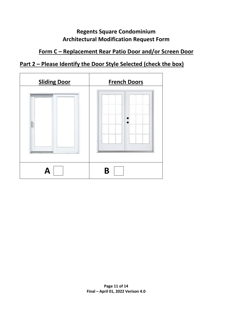# **Form C – Replacement Rear Patio Door and/or Screen Door**

# **Part 2 – Please Identify the Door Style Selected (check the box)**

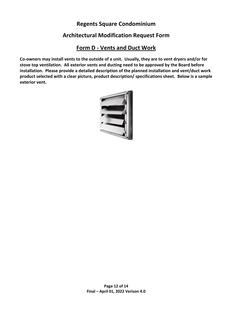#### **Regents Square Condominium**

## **Architectural Modification Request Form**

## **Form D - Vents and Duct Work**

**Co-owners may install vents to the outside of a unit. Usually, they are to vent dryers and/or for stove top ventilation. All exterior vents and ducting need to be approved by the Board before installation. Please provide a detailed description of the planned installation and vent/duct work product selected with a clear picture, product description/ specifications sheet. Below is a sample exterior vent.** 

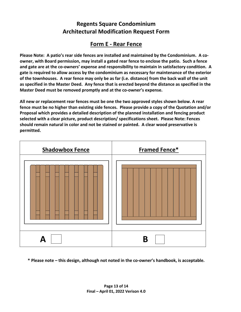# **Form E - Rear Fence**

**Please Note: A patio's rear side fences are installed and maintained by the Condominium. A coowner, with Board permission, may install a gated rear fence to enclose the patio. Such a fence and gate are at the co-owners' expense and responsibility to maintain in satisfactory condition. A gate is required to allow access by the condominium as necessary for maintenance of the exterior of the townhouses. A rear fence may only be as far (i.e. distance) from the back wall of the unit as specified in the Master Deed. Any fence that is erected beyond the distance as specified in the Master Deed must be removed promptly and at the co-owner's expense.** 

**All new or replacement rear fences must be one the two approved styles shown below. A rear fence must be no higher than existing side fences. Please provide a copy of the Quotation and/or Proposal which provides a detailed description of the planned installation and fencing product selected with a clear picture, product description/ specifications sheet. Please Note: Fences should remain natural in color and not be stained or painted. A clear wood preservative is permitted.** 



**\* Please note – this design, although not noted in the co-owner's handbook, is acceptable.**